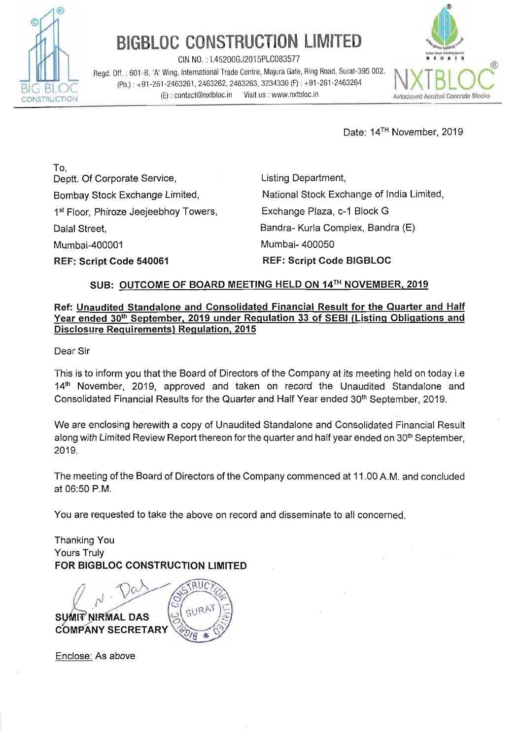

CIN NO. : L45200GJ2015PLC083577 **III~U~I rn** 

Regd. Off. : 601-B, **'A'** Wing, lnternatlonal Trade Centre, Majura Gate, Ring Road, Surat-395 002. (Ph.) : +91-261-2463261, 2463262, 2463263, 3234330 (F) : +91-261-2463264 (E) : contact@nxtbloc.in Visit us : www.nxtbloc.in Autoclaved Aerated Concrete Blocks



Date: 14TH November, 2019

To, Deptt. Of Corporate Service, Bombay Stock Exchange Limited, 1<sup>st</sup> Floor, Phiroze Jeejeebhoy Towers, Dalal Street, Mumbai-400001

**REF: Script Code 540061** 

Listing Department, National Stock Exchange of India Limited, Exchange Plaza, c-I Block G Bandra- Kurla Complex, Bandra (E) Mumbai- 400050 **REF: Script Code BIGBLOC** 

## **SUB: OUTCOME OF BOARD MEETING HELD ON 14TH NOVEMBER, 2019**

## **Ref: Unaudited Standalone and Consolidated Financial Result for the Quarter and Half Year ended 30th September, 2019 under Requlation 33 of SEBl (Listing Obligations and Disclosure Requirements) Regulation, 2015**

Dear Sir

'This is to inform you that the Board of Directors of the Company at its meeting held on today i.e 14<sup>th</sup> November, 2019, approved and taken on record the Unaudited Standalone and Consolidated Financial Results for the Quarter and Half Year ended 30<sup>th</sup> September, 2019.

We are enclosing herewith a copy of Unaudited Standalone and Consolidated Financial Result along with Limited Review Report thereon for the quarter and half year ended on 30<sup>th</sup> September, 2019.

The meeting of the Board of Directors of the Company commenced at 11 .OO A.M. and concluded at 06:50 P.M.

You are requested to take the above on record and disseminate to all concerned.

Thanking You Yours Truly **FOR BIGBLOC CONSTRUCTION LIMITED** 

SURA **SUMIT NIRMAL DAS COMPANY SECRETARY** 

Enclose: As above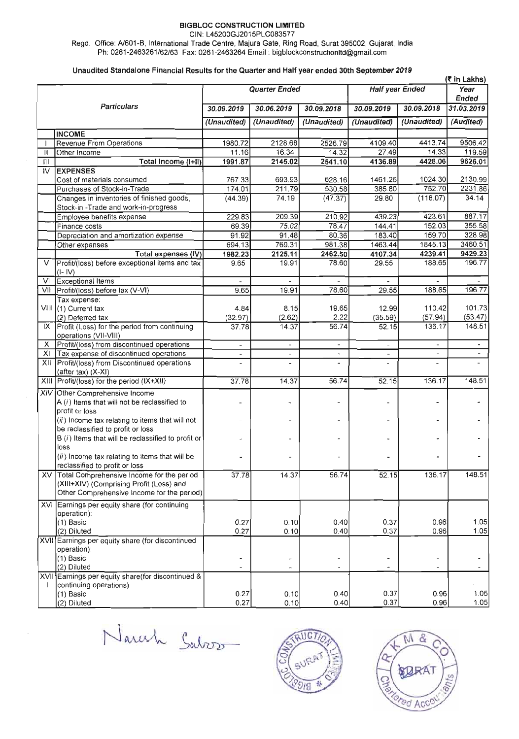CIN: L45200GJ2015PLCO83577

Regd. Office: N601-6, International Trade Centre, Majura Gate. Ring Road, Surat 395002, Gujarat, India Ph: 0261-2463261162163 Fax: 0261-2463264 Email : bigblockconstructionItd@gmail.com

#### Unaudited Standalone Financial Results for the Quarter and Half year ended 30th September 2019

|                    |                                                                             |                              |                          |                          |                          | (₹ in Lakhs)             |                          |
|--------------------|-----------------------------------------------------------------------------|------------------------------|--------------------------|--------------------------|--------------------------|--------------------------|--------------------------|
|                    |                                                                             | <b>Quarter Ended</b>         |                          |                          | Half year Ended          |                          | Year<br>Ended            |
| <b>Particulars</b> |                                                                             | 30.09.2019                   | 30.06.2019               | 30.09.2018               | 30.09.2019               | 30.09.2018               | 31.03.2019               |
|                    |                                                                             | (Unaudited)                  | (Unaudited)              | (Unaudited)              | (Unaudited)              | (Unaudited)              | (Audited)                |
|                    | <b>INCOME</b>                                                               |                              |                          |                          |                          |                          |                          |
|                    | <b>Revenue From Operations</b>                                              | 1980.72                      | 2128.68                  | 2526.79                  | 4109.40                  | 4413.74                  | 9506.42                  |
| Ш                  | Other Income                                                                | 11.16                        | 16.34                    | 14.32                    | 27.49                    | 14.33                    | 119.59                   |
| Ш                  | Total Income (I+II)                                                         | 1991.87                      | 2145.02                  | 2541.10                  | 4136.89                  | 4428.06                  | 9626.01                  |
| IV                 | <b>EXPENSES</b>                                                             |                              |                          |                          |                          |                          |                          |
|                    | Cost of materials consumed                                                  | 767.33                       | 693.93                   | 628.16                   | 1461.26                  | 1024.30                  | 2130.99                  |
|                    | Purchases of Stock-in-Trade                                                 | 174,01                       | 211.79                   | 530.58                   | 385.80                   | 752.70                   | 2231.86                  |
|                    | Changes in inventories of finished goods,                                   | (44.39)                      | 74.19                    | (47.37)                  | 29.80                    | (118.07)                 | 34.14                    |
|                    | Stock-in-Trade and work-in-progress                                         |                              |                          |                          |                          |                          |                          |
|                    | Employee benefits expense                                                   | 229.83                       | 209.39                   | 210.92                   | 439.23                   | 423.61                   | 887.17                   |
|                    | Finance costs                                                               | 69.39                        | 75.02                    | 78.47                    | 144.41                   | 152.03                   | 355.58                   |
|                    | Depreciation and amortization expense                                       | 91.92                        | 91.48                    | 80.36                    | 183.40                   | 159.70                   | 328.98                   |
|                    | Other expenses                                                              | 694.13                       | 769.31                   | 981.38                   | 1463.44                  | 1845.13                  | 3460.51                  |
|                    | Total expenses (IV)                                                         | 1982.23                      | 2125.11                  | 2462.50                  | 4107.34                  | 4239.41                  | 9429.23                  |
| V                  | Profit/(loss) before exceptional items and tax<br>$(I - IV)$                | 9.65                         | 19.91                    | 78.60                    | 29.55                    | 188.65                   | 196.77                   |
| VI                 | Exceptional Items                                                           |                              |                          |                          |                          |                          |                          |
|                    | VII Profit/(loss) before tax (V-VI)                                         | 9.65                         | 19.91                    | 78.60                    | 29.55                    | 188.65                   | 196.77                   |
|                    | Tax expense:                                                                |                              |                          |                          |                          |                          |                          |
|                    | VIII (1) Current tax                                                        | 4.84                         | 8.15                     | 19.65                    | 12.99                    | 110.42                   | 101.73                   |
|                    | (2) Deferred tax                                                            | (32.97)                      | (2.62)                   | 2.22                     | (35.59)                  | (57.94)                  | (53.47)                  |
|                    | IX Profit (Loss) for the period from continuing<br>operations (VII-VIII)    | 37.78                        | 14.37                    | 56.74                    | 52.15                    | 136.17                   | 148.51                   |
| х                  | Profit/(loss) from discontinued operations                                  |                              | $\overline{\phantom{a}}$ |                          | $\overline{\phantom{a}}$ | $\overline{\phantom{a}}$ | $\overline{\phantom{a}}$ |
| XI                 | Tax expense of discontinued operations                                      | $\overline{\phantom{a}}$     | $\overline{\phantom{a}}$ | $\overline{\phantom{a}}$ | $\overline{\phantom{a}}$ | $\overline{\phantom{a}}$ | $\overline{\phantom{a}}$ |
|                    | XII Profit/(loss) from Discontinued operations<br>(after tax) $(X-XI)$      |                              |                          |                          | $\overline{\phantom{0}}$ | $\overline{\phantom{0}}$ |                          |
|                    | XIII Profit/(loss) for the period (IX+XII)                                  | 37.78                        | 14.37                    | 56.74                    | 52.15                    | 136.17                   | 148.51                   |
|                    | XIV Other Comprehensive Income                                              |                              |                          |                          |                          |                          |                          |
|                    | A $(i)$ Items that will not be reclassified to<br>profit or loss            |                              |                          |                          |                          | $\tilde{\phantom{a}}$    |                          |
| $\bar{z}$          | (ii) Income tax relating to items that will not                             |                              |                          |                          |                          |                          |                          |
|                    | be reclassified to profit or loss                                           |                              |                          |                          |                          |                          |                          |
|                    | $B(i)$ Items that will be reclassified to profit or                         |                              |                          |                          |                          |                          |                          |
|                    | loss                                                                        |                              |                          |                          |                          |                          |                          |
|                    | (ii) Income tax relating to items that will be                              |                              |                          |                          |                          |                          |                          |
|                    | reclassified to profit or loss                                              |                              |                          |                          |                          |                          |                          |
|                    | XV Total Comprehensive Income for the period                                | 37.78                        | 14.37                    | 56.74                    | 52.15                    | 136.17                   | 148.51                   |
|                    | (XIII+XIV) (Comprising Profit (Loss) and                                    |                              |                          |                          |                          |                          |                          |
|                    | Other Comprehensive Income for the period)                                  |                              |                          |                          |                          |                          |                          |
|                    | XVI Earnings per equity share (for continuing                               |                              |                          |                          |                          |                          |                          |
|                    | operation):                                                                 |                              |                          |                          |                          |                          |                          |
|                    | (1) Basic                                                                   | 0.27                         | 0.10                     | 0.40                     | 0.37                     | 0.96                     | 1.05                     |
|                    | (2) Diluted                                                                 | 0.27                         | 0.10                     | 0.40                     | 0.37                     | 0.96                     | 1.05                     |
|                    | XVII Earnings per equity share (for discontinued                            |                              |                          |                          |                          |                          |                          |
|                    | operation):                                                                 |                              |                          |                          |                          |                          |                          |
|                    | (1) Basic                                                                   | $\qquad \qquad \blacksquare$ | $\overline{\phantom{a}}$ | -                        | $\overline{\phantom{0}}$ | $\overline{\phantom{a}}$ |                          |
|                    | (2) Diluted                                                                 |                              |                          |                          | $\tilde{}$               | $\overline{\phantom{a}}$ |                          |
|                    | XVII Earnings per equity share(for discontinued &<br>continuing operations) |                              |                          |                          |                          |                          |                          |
|                    | (1) Basic                                                                   | 0.27                         | 0.10                     | 0.40                     | 0.37                     | 0.96                     | 1.05                     |
|                    | (2) Diluted                                                                 | 0.27                         | 0.10                     | 0.40                     | 0.37                     | 0.96                     | 1.05                     |
|                    |                                                                             |                              |                          |                          |                          |                          |                          |

Naresh Salvos



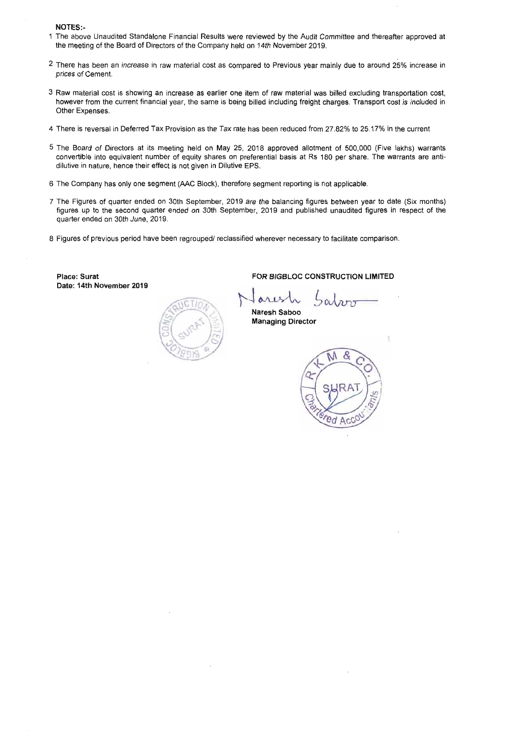NOTES:-

- 1 The above Unaudited Standalone Financial Results were reviewed by the Audit Committee and thereafter approved at the meeting of the Board of Directors of the Company held on 14th November 2019.
- **2** There has been an increase in raw material cost as compared to Previous year mainly due to around 25% increase in prices of Cement.
- 3 Raw material cost is showing an increase as earlier one item of raw material was billed excluding transportation cost, however from the current financial year, the same is being billed including freight charges. Transport cost is included in Other Expenses.
- 4 There is reversal in Deferred Tax Provision as the Tax rate has been reduced from 27.82% to 25.17% in the current
- 5 The Board of Directors at its meeting held on May 25, 2018 approved allotment of 500,000 (Five lakhs) warrants convertible into equivalent number of equity shares on preferential basis at Rs 180 per share. The warrants are antidilutive in nature, hence their effect is not given in Dilutive EPS.
- 6 The Company has only one segment (AAC Block), therefore segment reporting is not applicable.
- 7 The Figures of quarter ended on 30th September, 2019 are the balancing figures between year to date (Six months) figures up to the second quarter ended on 30th September, 2019 and published unaudited figures in respect of the quarter ended on 30th June, 2019.
- 8 Figures of previous period have been regrouped/ reclassified wherever necessary to facilitate comparison.

Place: Surat Date: 14th November 2019



**Naresh Saboo Managing Director** 

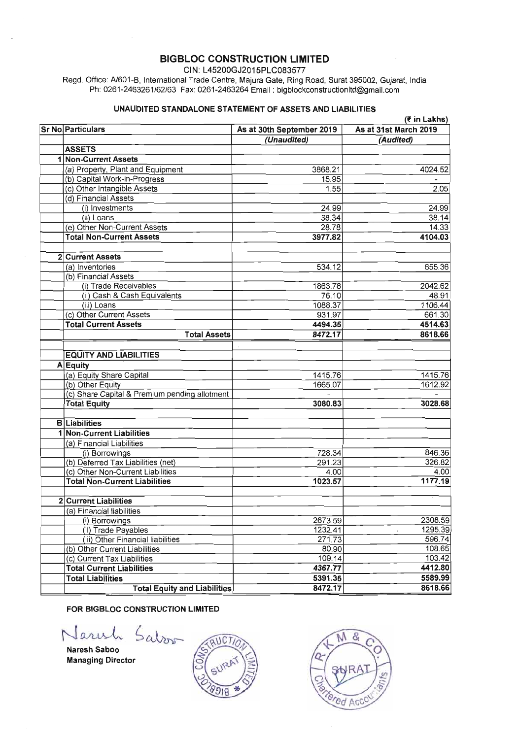**CIN:** L45200GJ2015PLCO83577

Regd. Office: Al601-B, International Trade Centre, Majura Gate, Ring Road, Surat 395002, Gujarat, India Ph: 0261-2463261162163 Fax: 0261-2463264 Email : bigblockconstructionItd@gmail.com

### UNAUDITED STANDALONE STATEMENT OF ASSETS AND LIABILITIES

**(7** in Lakhs)

| (र in Lakhs)                                  |                           |                       |  |  |  |
|-----------------------------------------------|---------------------------|-----------------------|--|--|--|
| <b>Sr No Particulars</b>                      | As at 30th September 2019 | As at 31st March 2019 |  |  |  |
|                                               | (Unaudited)               | (Audited)             |  |  |  |
| <b>ASSETS</b>                                 |                           |                       |  |  |  |
| 1 Non-Current Assets                          |                           |                       |  |  |  |
| (a) Property, Plant and Equipment             | 3868.21                   | 4024.52               |  |  |  |
| (b) Capital Work-in-Progress                  | 15.95                     |                       |  |  |  |
| (c) Other Intangible Assets                   | 1.55                      | 2.05                  |  |  |  |
| (d) Financial Assets                          |                           |                       |  |  |  |
| (i) Investments                               | 24.99                     | 24.99                 |  |  |  |
| (ii) Loans                                    | 38.34                     | 38.14                 |  |  |  |
| (e) Other Non-Current Assets                  | 28.78                     | 14.33                 |  |  |  |
| <b>Total Non-Current Assets</b>               | 3977.82                   | 4104.03               |  |  |  |
| 2 Current Assets                              |                           |                       |  |  |  |
| (a) Inventories                               | 534.12                    | 655.36                |  |  |  |
| (b) Financial Assets                          |                           |                       |  |  |  |
| (i) Trade Receivables                         | 1863.78                   | 2042.62               |  |  |  |
| (ii) Cash & Cash Equivalents                  | 76.10                     | 48.91                 |  |  |  |
| (iii) Loans                                   | 1088.37                   | 1106.44               |  |  |  |
| (c) Other Current Assets                      | 931.97                    | 661.30                |  |  |  |
| <b>Total Current Assets</b>                   | 4494.35                   | 4514.63               |  |  |  |
| <b>Total Assets</b>                           | 8472.17                   | 8618.66               |  |  |  |
|                                               |                           |                       |  |  |  |
| <b>EQUITY AND LIABILITIES</b>                 |                           |                       |  |  |  |
| A Equity                                      |                           |                       |  |  |  |
| (a) Equity Share Capital                      | 1415.76                   | 1415.76               |  |  |  |
| (b) Other Equity                              | 1665.07                   | 1612.92               |  |  |  |
| (c) Share Capital & Premium pending allotment |                           |                       |  |  |  |
| <b>Total Equity</b>                           | 3080.83                   | 3028.68               |  |  |  |
| <b>B</b> Liabilities                          |                           |                       |  |  |  |
| 1 Non-Current Liabilities                     |                           |                       |  |  |  |
| (a) Financial Liabilities                     |                           |                       |  |  |  |
| (i) Borrowings                                | 728.34                    | 846.36                |  |  |  |
| (b) Deferred Tax Liabilities (net)            | 291.23                    | 326.82                |  |  |  |
| (c) Other Non-Current Liabilities             | 4.00                      | 4.00                  |  |  |  |
| <b>Total Non-Current Liabilities</b>          | 1023.57                   | 1177.19               |  |  |  |
|                                               |                           |                       |  |  |  |
| 2 Current Liabilities                         |                           |                       |  |  |  |
| (a) Financial liabilities                     |                           |                       |  |  |  |
| (i) Borrowings                                | 2673.59                   | 2308.59               |  |  |  |
| (ii) Trade Payables                           | 1232.41                   | 1295.39               |  |  |  |
| (iii) Other Financial liabilities             | 271.73                    | 596.74                |  |  |  |
| (b) Other Current Liabilities                 | 80.90                     | 108.65                |  |  |  |
| (c) Current Tax Liabilities                   | 109.14                    | 103.42                |  |  |  |
| <b>Total Current Liabilities</b>              | 4367.77                   | 4412.80               |  |  |  |
| <b>Total Liabilities</b>                      | 5391.35                   | 5589.99               |  |  |  |
| <b>Total Equity and Liabilities</b>           | 8472.17                   | 8618.66               |  |  |  |

Salzon

Naresh Saboo Managing Director



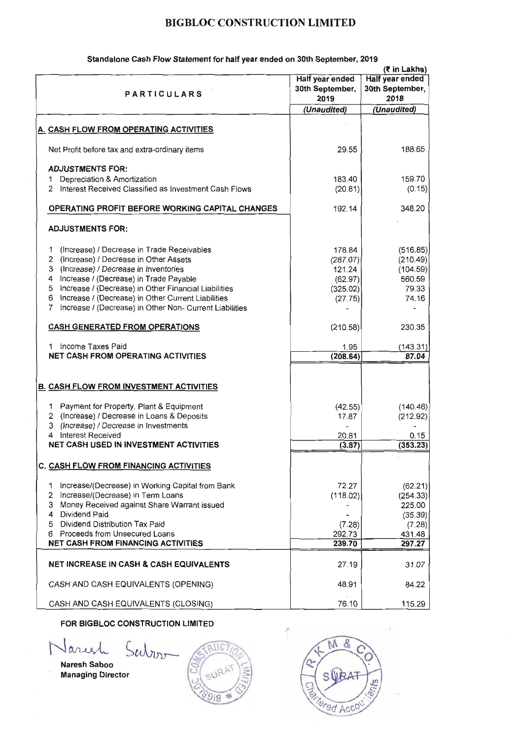| <b>PARTICULARS</b>                                                                                                                                                                                                                                                                                                                                                   | Half year ended<br>30th September,<br>2019                     | (₹ in Lakhs)<br><b>Half year ended</b><br>30th September,<br>2018      |
|----------------------------------------------------------------------------------------------------------------------------------------------------------------------------------------------------------------------------------------------------------------------------------------------------------------------------------------------------------------------|----------------------------------------------------------------|------------------------------------------------------------------------|
|                                                                                                                                                                                                                                                                                                                                                                      | (Unaudited)                                                    | (Unaudited)                                                            |
| A. CASH FLOW FROM OPERATING ACTIVITIES                                                                                                                                                                                                                                                                                                                               |                                                                |                                                                        |
| Net Profit before tax and extra-ordinary items                                                                                                                                                                                                                                                                                                                       | 29.55                                                          | 188.65                                                                 |
| <b>ADJUSTMENTS FOR:</b><br>Depreciation & Amortization<br>1.<br>Interest Received Classified as Investment Cash Flows<br>2                                                                                                                                                                                                                                           | 183.40<br>(20.81)                                              | 159.70<br>(0.15)                                                       |
| <b>OPERATING PROFIT BEFORE WORKING CAPITAL CHANGES</b>                                                                                                                                                                                                                                                                                                               | 192.14                                                         | 348.20                                                                 |
| <b>ADJUSTMENTS FOR:</b>                                                                                                                                                                                                                                                                                                                                              |                                                                |                                                                        |
| (Increase) / Decrease in Trade Receivables<br>1.<br>2 (Increase) / Decrease in Other Assets<br>3 (Increase) / Decrease in Inventories<br>4 Increase / (Decrease) in Trade Payable<br>5 Increase / (Decrease) in Other Financial Liabilities<br>6 Increase / (Decrease) in Other Current Liabilities<br>Increase / (Decrease) in Other Non- Current Liabilities<br>7. | 178.84<br>(287.07)<br>121.24<br>(62.97)<br>(325.02)<br>(27.75) | (516.85)<br>(210.49)<br>(104.59)<br>560.59<br>79.33<br>74.16           |
| <b>CASH GENERATED FROM OPERATIONS</b>                                                                                                                                                                                                                                                                                                                                | (210.58)                                                       | 230.35                                                                 |
| Income Taxes Paid<br>1.<br><b>NET CASH FROM OPERATING ACTIVITIES</b>                                                                                                                                                                                                                                                                                                 | 1.95<br>(208.64)                                               | (143.31)<br>87.04                                                      |
| <b>B. CASH FLOW FROM INVESTMENT ACTIVITIES</b>                                                                                                                                                                                                                                                                                                                       |                                                                |                                                                        |
| 1 Payment for Property, Plant & Equipment<br>2 (Increase) / Decrease in Loans & Deposits<br>3 (Increase) / Decrease in Investments<br>4 Interest Received<br><b>NET CASH USED IN INVESTMENT ACTIVITIES</b>                                                                                                                                                           | (42.55)<br>17.87<br>$\overline{a}$<br>20.81<br>(3.87)          | (140.46)<br>(212.92)<br>0.15<br>(353.23)                               |
| C. CASH FLOW FROM FINANCING ACTIVITIES                                                                                                                                                                                                                                                                                                                               |                                                                |                                                                        |
| 1 Increase/(Decrease) in Working Capital from Bank<br>2 Increase/(Decrease) in Term Loans<br>3 Money Received against Share Warrant issued<br>4 Dividend Paid<br>5 Dividend Distribution Tax Paid<br>6 Proceeds from Unsecured Loans<br><b>NET CASH FROM FINANCING ACTIVITIES</b>                                                                                    | 72.27<br>(118.02)<br>(7.28)<br>292.73<br>239.70                | (62.21)<br>(254.33)<br>225.00<br>(35.39)<br>(7.28)<br>431.48<br>297.27 |
| <b>NET INCREASE IN CASH &amp; CASH EQUIVALENTS</b>                                                                                                                                                                                                                                                                                                                   | 27.19                                                          | 31.07                                                                  |
| CASH AND CASH EQUIVALENTS (OPENING)                                                                                                                                                                                                                                                                                                                                  | 48.91                                                          | 84.22                                                                  |
| CASH AND CASH EQUIVALENTS (CLOSING)                                                                                                                                                                                                                                                                                                                                  | 76.10                                                          | 115.29                                                                 |

### Standalone Cash Flow Statement for half year ended on 30th September, 2019

## FOR BIGBLOC CONSTRUCTION LIMITED

Jariel  $Su$  $\Gamma$ 

Naresh Saboo Managing Director



х ed Acc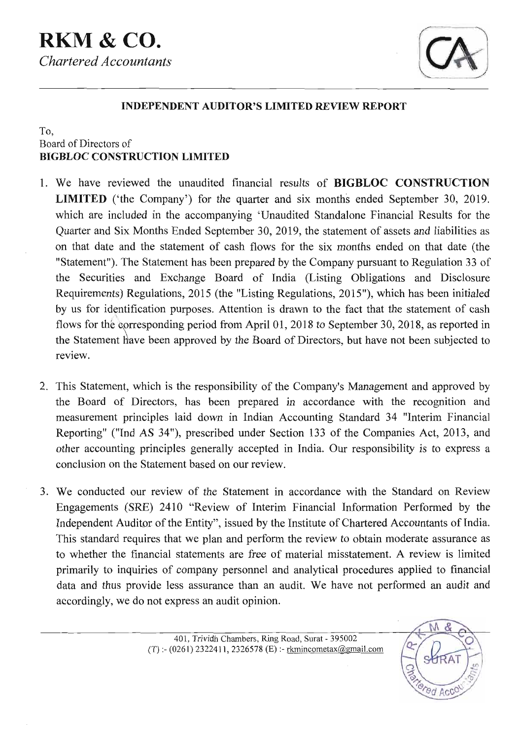

## **INDEPENDENT AUDITOR'S LIMITED REVIEW REPORT**

## To, Board of Directors of **BIGBLOC CONSTRUCTION LIMITED**

- 1. We have reviewed the unaudited financial results of **BIGBLOC CONSTRUCTION LIMITED** ('the Company') for the quarter and six months ended September 30, 2019. which are included in the accompanying 'Unaudited Standalone Financial Results for the Quarter and Six Months Ended September 30, 2019, the statement of assets and liabilities as on that date and the statement of cash flows for the six months ended on that date (the "Statement"). The Statement has been prepared by the Company pursuant to Regulation 33 of the Securities and Exchange Board of India (Listing Obligations and Disclosure Requirements) Regulations, 2015 (the "Listing Regulations, 2015"), which has been initialed by us for identification purposes. Attention is drawn to the fact that the statement of cash flows for the corresponding period from April 01, 2018 to September 30, 2018, as reported in review. the Statement have been approved by the Board of Directors, but have not been subjected to
- 2. This Statement, which is the responsibility of the Company's Management and approved by the Board of Directors, has been prepared in accordance with the recognition and measurement principles laid down in Indian Accounting Standard 34 "Interim Financial Reporting" ("Ind AS 34"), prescribed under Section 133 of the Companies Act, 2013, and other accounting principles generally accepted in India. Our responsibility is to express a conclusion on the Statement based on our review.
- 3. We conducted our review of the Statement in accordance with the Standard on Review Engagements (SRE) 2410 "Review of Interim Financial Information Performed by the Independent Auditor of the Entity", issued by the Institute of Chartered Accountants of India. This standard requires that we plan and perform the review to obtain moderate assurance as to whether the financial statements are free of material misstatement. A review is limited primarily to inquiries of company personnel and analytical procedures applied to financial data and thus provide less assurance than an audit. We have not performed an audit and accordingly, we do not express an audit opinion.

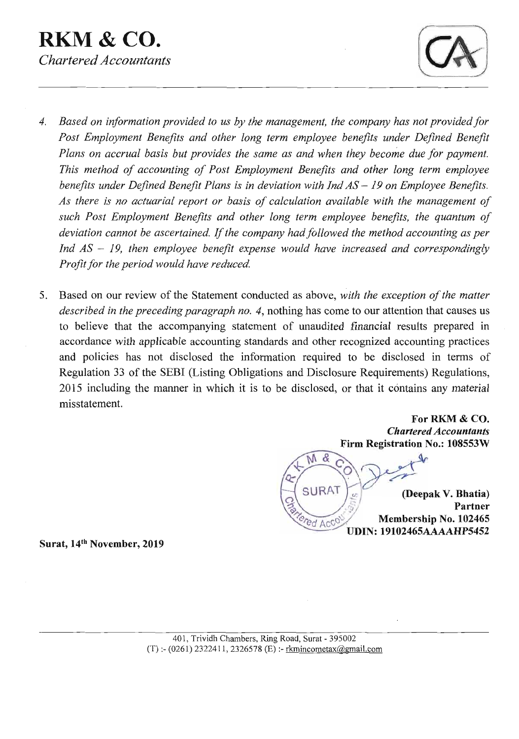**RKM** & **CO.**  *Chartered Accountants* 



- 4. *Based on information provided to us by the management, the company has not provided for*  Post Employment Benefits and other long term employee benefits under Defined Benefit *Plans on accrual basis but provides the same as and when they become due for payment. This method of accounting of Post Employment Benefits and other long term employee benefits under Defined Benefit Plans is in deviation with Ind AS* - *19 on Employee Benefits. As there is no actuarial report or basis of calculation available with the management of such Post Employment Benefits and other long term employee benefits, the quantum of deviation cannot be ascertained.* If *the company had followed the method accounting as per Ind AS* - *19, then employee benefit expense would have increased and correspondingly Profit for the period would have reduced.*
- Based on our review of the Statement conducted as above, *with the exception of the matter*  5. *described in the preceding paragraph no. 4, nothing has come to our attention that causes us* to believe that the accompanying statement of unaudited financial results prepared in accordance with applicable accounting standards and other recognized accounting practices and policies has not disclosed the information required to be disclosed in terms of Regulation 33 of the SEBI (Listing Obligations and Disclosure Requirements) Regulations, 2015 including the manner in which it is to be disclosed, or that it contains any material misstatement.

**For RKM** & **CO.**  *Chartered Accountants*  **Firm Registration No.: 108553W** 

 $Mg$ **SURAT (Deepak V. Bhatia) J, Partner Membership No. 102465 UDIN: 19102465AAAAHP5452** 

**Surat, 14th November, 2019**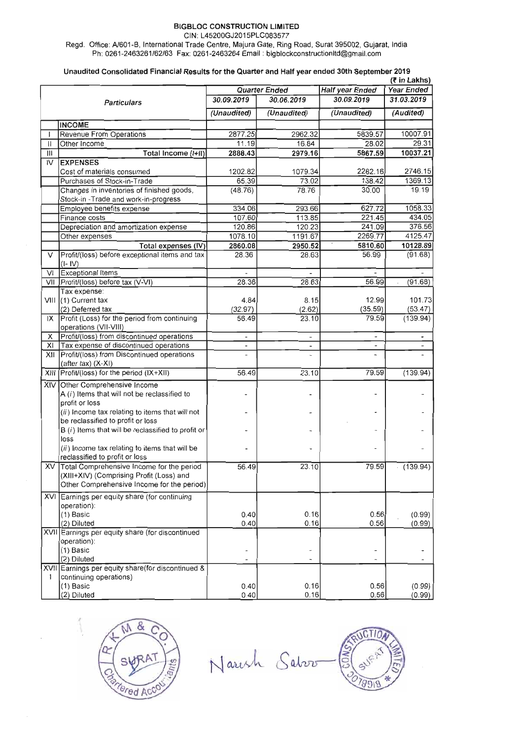CIN: L45200GJ2015PLC083577

Regd. Ofice: A1601 **-6,** International Trade Centre, Majura Gate, Ring Road, Surat 395002, Gujarat, India Ph: 0261-2463261162163 Fax: 0261-2463264 Email : **bigblockconstructionItd@gmail.corn** 

#### Unaudited Consolidated Financial Results for the Quarter and Half year ended 30th September 2019

| (₹ in Lakhs)   |                                                     |                          |                      |                          |                          |
|----------------|-----------------------------------------------------|--------------------------|----------------------|--------------------------|--------------------------|
|                |                                                     |                          | <b>Quarter Ended</b> | <b>Half year Ended</b>   | Year Ended               |
|                | <b>Particulars</b>                                  | 30.09.2019               | 30.06.2019           | 30.09.2019               | 31.03.2019               |
|                |                                                     | (Unaudited)              | (Unaudited)          | (Unaudited)              | (Audited)                |
|                | <b>INCOME</b>                                       |                          |                      |                          |                          |
|                | Revenue From Operations                             | 2877.25                  | 2962.32              | 5839.57                  | 10007.91                 |
| Н              | Other Income                                        | 11.19                    | 16.84                | 28.02                    | 29.31                    |
| Ш              | Total Income (I+II)                                 | 2888.43                  | 2979.16              | 5867.59                  | 10037.21                 |
| $\overline{W}$ | <b>EXPENSES</b>                                     |                          |                      |                          |                          |
|                | Cost of materials consumed                          | 1202.82                  | 1079.34              | 2282.16                  | 2746.15                  |
|                | Purchases of Stock-in-Trade                         | 65.39                    | 73.02                | 138.42                   | 1369.13                  |
|                | Changes in inventories of finished goods,           | (48.76)                  | 78.76                | 30.00                    | 19.19                    |
|                | Stock-in - Trade and work-in-progress               |                          |                      |                          |                          |
|                | Employee benefits expense                           | 334.06                   | 293.66               | 627.72                   | 1058.33                  |
|                | Finance costs                                       | 107.60                   | 113.85               | 221.45                   | 434.05                   |
|                | Depreciation and amortization expense               | 120.86                   | 120.23               | 241.09                   | 376.56                   |
|                | Other expenses                                      | 1078.10                  | 1191.67              | 2269.77                  | 4125.47                  |
|                | Total expenses (IV)                                 | 2860.08                  | 2950.52              | 5810.60                  | 10128.89                 |
| $\vee$         | Profit/(loss) before exceptional items and tax      | 28.36                    | 28.63                | 56.99                    | (91.68)                  |
|                | $(I - IV)$                                          |                          |                      |                          |                          |
| VI             | Exceptional Items                                   |                          |                      |                          |                          |
| VII            | Profit/(loss) before tax (V-VI)                     | 28.36                    | 28.63                | 56.99                    | (91.68)<br>$\mathcal{L}$ |
|                | Tax expense:                                        |                          |                      |                          |                          |
|                | VIII (1) Current tax                                | 4.84                     | 8.15                 | 12.99                    | 101.73                   |
|                | (2) Deferred tax                                    | (32.97)                  | (2.62)               | (35.59)                  | (53.47)                  |
| IX             | Profit (Loss) for the period from continuing        | 56.49                    | 23.10                | 79.59                    | (139.94)                 |
|                | operations (VII-VIII)                               |                          |                      |                          |                          |
| х              | Profit/(loss) from discontinued operations          |                          |                      |                          |                          |
| XI             | Tax expense of discontinued operations              | $\overline{\phantom{a}}$ |                      |                          |                          |
| XII            | Profit/(loss) from Discontinued operations          |                          |                      | щ.                       |                          |
|                | $(after tax)$ $(X-XI)$                              |                          |                      |                          |                          |
|                | XIII Profit/(loss) for the period (IX+XII)          | 56.49                    | 23.10                | 79.59                    | (139.94)                 |
|                | XIV Other Comprehensive Income                      |                          |                      |                          |                          |
|                | A $(i)$ Items that will not be reclassified to      |                          |                      |                          |                          |
|                | profit or loss                                      |                          |                      |                          |                          |
|                | (ii) Income tax relating to items that will not     |                          |                      |                          |                          |
|                | be reclassified to profit or loss                   |                          |                      |                          |                          |
|                | $B(i)$ Items that will be reclassified to profit or |                          |                      |                          |                          |
|                | loss                                                |                          |                      |                          |                          |
|                | (ii) Income tax relating to items that will be      |                          |                      |                          |                          |
|                | reclassified to profit or loss                      |                          |                      |                          |                          |
| XV             | Total Comprehensive Income for the period           | 56.49                    | 23.10                | 79.59                    | (139.94)                 |
|                | (XIII+XIV) (Comprising Profit (Loss) and            |                          |                      |                          |                          |
|                | Other Comprehensive Income for the period)          |                          |                      |                          |                          |
|                | XVI Earnings per equity share (for continuing       |                          |                      |                          |                          |
|                | operation):                                         |                          |                      |                          |                          |
|                | (1) Basic                                           | 0.40                     | 0.16                 | 0.56                     | (0.99)                   |
|                | (2) Diluted                                         | 0.40                     | 0.16                 | 0.56                     | (0.99)                   |
|                | XVII Earnings per equity share (for discontinued    |                          |                      |                          |                          |
|                | operation):                                         |                          |                      |                          |                          |
|                | (1) Basic                                           | $\overline{\phantom{0}}$ |                      | $\overline{\phantom{a}}$ |                          |
|                | (2) Diluted                                         |                          |                      |                          |                          |
| XVII           | Earnings per equity share(for discontinued &        |                          |                      |                          |                          |
| $\mathbf{I}$   | continuing operations)                              |                          |                      |                          |                          |
|                | (1) Basic                                           | 0.40                     | 0.16                 | 0.56                     | (0.99)                   |
|                | (2) Diluted                                         | 0.40                     | 0.16                 | 0.56                     | (0.99)                   |



Narch Salvo

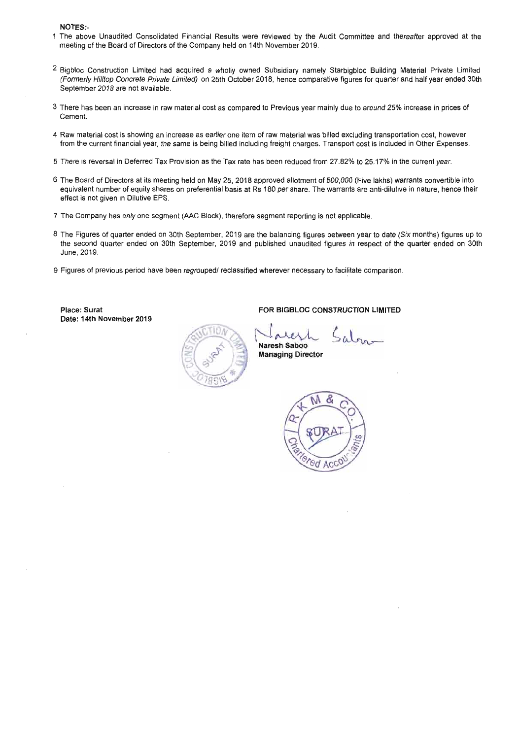#### NOTES:-

- 1 The above Unaudited Consolidated Financial Results were reviewed by the Audit Committee and thereafter approved at the meeting of the Board of Directors of the Company held on 14th November 2019.
- <sup>2</sup> Bigbloc Construction Limited had acquired a wholly owned Subsidiary namely Starbigbloc Building Material Private Limited (Formerly Hilltop Concrete **Privete** Limited) on 25th October 2018, hence comparative figures for quarter and half year ended 30th September 2018 are not available.
- **3** There has been an increase in raw material cost as compared to Previous year mainly due to around 25% increase in prices of Cement.
- 4 Raw material cost is showing an increase as earlier one item of raw material was billed excluding transportation cost, however from the current financial year, the same is being billed including freight charges. Transport cost is included in Other Expenses.
- 5 There is reversal in Deferred Tax Provision as the Tax rate has been reduced from 27.82% to 25.17% in the current year.
- **6** The Board of Directors at its meeting held on May 25, 2018 approved allotment of 500,000 (Five lakhs) warrants convertible into equivalent number of equity shares on preferential basis at Rs 180 per share. The warrants are anti-dilutive in nature, hence their effect is not given in Dilutive EPS.
- 7 The Company has only one segment (AAC Block), therefore segment reporting is not applicable.
- 8 The Figures of quarter ended on 30th September, 2019 are the balancing figures between year to date (Six months) figures up to the second quarter ended on 30th September, 2019 and published unaudited figures in respect of the quarter ended on 30th June, 2019.
- 9 Figures of previous period have been regrouped/ reclassified wherever necessary to facilitate comparison.

Place: Surat Date: 14th November 2019

**Naresh Saboo Managing Director** 

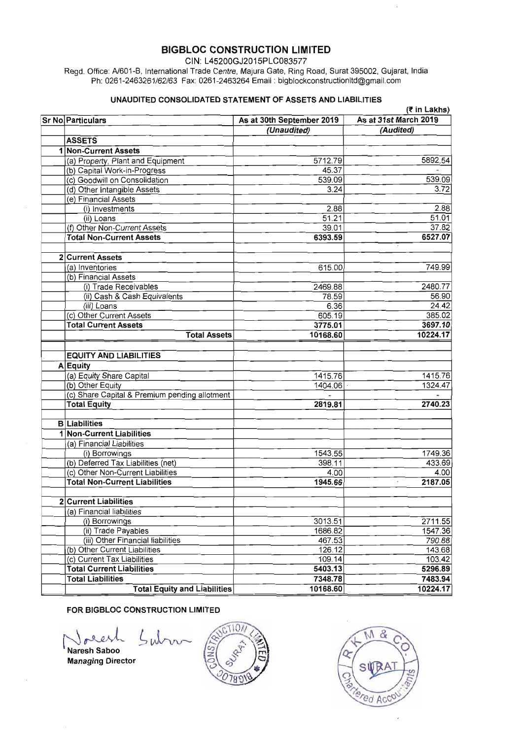**CIN:** L45200GJ2015PLC083577

Regd. Office: N601-B, International Trade Centre, Majura Gate, Ring Road, Surat 395002, Gujarat, India Ph: 0261-2463261162163 Fax: 0261 -2463264 Email : bigblockconstructionItd@gmail.com

#### UNAUDITED CONSOLIDATED STATEMENT OF ASSETS AND LIABILITIES

| (₹ in Lakhs)                                  |                           |                       |  |  |
|-----------------------------------------------|---------------------------|-----------------------|--|--|
| Sr No Particulars                             | As at 30th September 2019 | As at 31st March 2019 |  |  |
|                                               | (Unaudited)               | (Audited)             |  |  |
| <b>ASSETS</b>                                 |                           |                       |  |  |
| 1 Non-Current Assets                          |                           |                       |  |  |
| (a) Property, Plant and Equipment             | 5712.79                   | 5892.54               |  |  |
| (b) Capital Work-in-Progress                  | 45.37                     |                       |  |  |
| (c) Goodwill on Consolidation                 | 539.09                    | 539.09                |  |  |
| (d) Other Intangible Assets                   | 3.24                      | 3.72                  |  |  |
| (e) Financial Assets                          |                           |                       |  |  |
| (i) Investments                               | 2.88                      | 2.88                  |  |  |
| (ii) Loans                                    | 51.21                     | 51.01                 |  |  |
| (f) Other Non-Current Assets                  | 39.01                     | 37.82                 |  |  |
| <b>Total Non-Current Assets</b>               | 6393.59                   | 6527.07               |  |  |
|                                               |                           |                       |  |  |
| 2 Current Assets                              |                           |                       |  |  |
| (a) Inventories                               | 615.00                    | 749.99                |  |  |
| (b) Financial Assets                          |                           |                       |  |  |
| (i) Trade Receivables                         | 2469.88                   | 2480.77               |  |  |
| (ii) Cash & Cash Equivalents                  | 78.59                     | 56.90                 |  |  |
| (iii) Loans                                   | 6.36                      | 24.42                 |  |  |
| (c) Other Current Assets                      | 605.19                    | 385.02                |  |  |
| <b>Total Current Assets</b>                   | 3775.01                   | 3697.10               |  |  |
| <b>Total Assets</b>                           | 10168.60                  | 10224.17              |  |  |
|                                               |                           |                       |  |  |
| <b>EQUITY AND LIABILITIES</b>                 |                           |                       |  |  |
| A Equity                                      |                           |                       |  |  |
| (a) Equity Share Capital                      | 1415.76                   | 1415.76               |  |  |
| (b) Other Equity                              | 1404.06                   | 1324.47               |  |  |
| (c) Share Capital & Premium pending allotment | $\overline{a}$            |                       |  |  |
| <b>Total Equity</b>                           | 2819.81                   | 2740.23               |  |  |
|                                               |                           |                       |  |  |
| <b>B</b> Liabilities                          |                           |                       |  |  |
| 1 Non-Current Liabilities                     |                           |                       |  |  |
| (a) Financial Liabilities                     |                           |                       |  |  |
| (i) Borrowings                                | 1543.55                   | 1749.36               |  |  |
| (b) Deferred Tax Liabilities (net)            | 398.11                    | 433.69                |  |  |
| (c) Other Non-Current Liabilities             | 4.00                      | 4.00                  |  |  |
| <b>Total Non-Current Liabilities</b>          | 1945.66                   | 2187.05<br>$\bar{ }$  |  |  |
|                                               |                           |                       |  |  |
| 2 Current Liabilities                         |                           |                       |  |  |
| (a) Financial liabilities                     |                           |                       |  |  |
| (i) Borrowings                                | 3013.51                   | 2711.55               |  |  |
| (ii) Trade Payables                           | 1686.82                   | 1547.36               |  |  |
| (iii) Other Financial liabilities             | 467.53                    | 790.88                |  |  |
| (b) Other Current Liabilities                 | 126.12                    | 143.68                |  |  |
| (c) Current Tax Liabilities                   | 109.14                    | 103.42                |  |  |
| <b>Total Current Liabilities</b>              | 5403.13                   | 5296.89               |  |  |
| <b>Total Liabilities</b>                      | 7348.78                   | 7483.94               |  |  |
| <b>Total Equity and Liabilities</b>           | 10168.60                  | 10224.17              |  |  |

### FOR BIGBLOC CONSTRUCTION LIMITED

Naresh Saboo Managing Director





 $\bar{z}$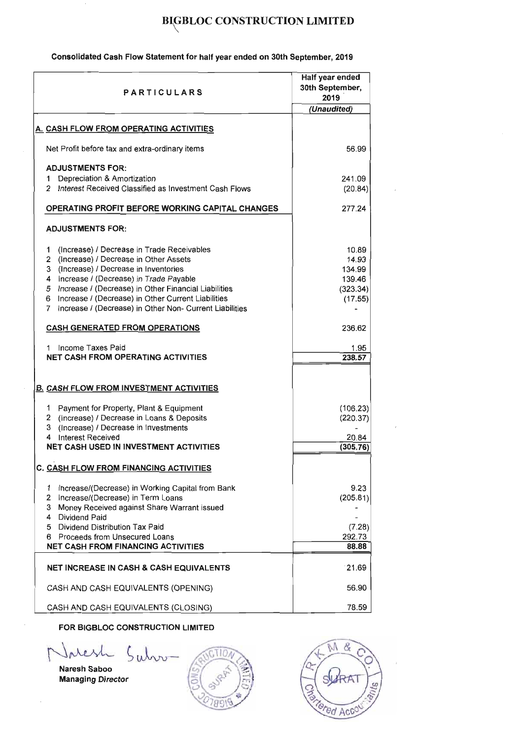### Consolidated Cash Flow Statement for half year ended on 30th September, 2019

| <b>PARTICULARS</b>                                                                                                                                                                                                                                                                                                                                                        | Half year ended<br>30th September,<br>2019                |  |
|---------------------------------------------------------------------------------------------------------------------------------------------------------------------------------------------------------------------------------------------------------------------------------------------------------------------------------------------------------------------------|-----------------------------------------------------------|--|
|                                                                                                                                                                                                                                                                                                                                                                           | (Unaudited)                                               |  |
| A. CASH FLOW FROM OPERATING ACTIVITIES                                                                                                                                                                                                                                                                                                                                    |                                                           |  |
| Net Profit before tax and extra-ordinary items                                                                                                                                                                                                                                                                                                                            | 56.99                                                     |  |
| <b>ADJUSTMENTS FOR:</b><br>Depreciation & Amortization<br>1<br>2 Interest Received Classified as Investment Cash Flows                                                                                                                                                                                                                                                    | 241.09<br>(20.84)                                         |  |
| <b>OPERATING PROFIT BEFORE WORKING CAPITAL CHANGES</b>                                                                                                                                                                                                                                                                                                                    | 277.24                                                    |  |
| <b>ADJUSTMENTS FOR:</b>                                                                                                                                                                                                                                                                                                                                                   |                                                           |  |
| (Increase) / Decrease in Trade Receivables<br>1<br>2 (Increase) / Decrease in Other Assets<br>3 (Increase) / Decrease in Inventories<br>4 Increase / (Decrease) in Trade Payable<br>Increase / (Decrease) in Other Financial Liabilities<br>5.<br>Increase / (Decrease) in Other Current Liabilities<br>6<br>Increase / (Decrease) in Other Non- Current Liabilities<br>7 | 10.89<br>14.93<br>134.99<br>139.46<br>(323.34)<br>(17.55) |  |
| <b>CASH GENERATED FROM OPERATIONS</b>                                                                                                                                                                                                                                                                                                                                     | 236.62                                                    |  |
| Income Taxes Paid<br>1.<br><b>NET CASH FROM OPERATING ACTIVITIES</b>                                                                                                                                                                                                                                                                                                      | 1.95<br>238.57                                            |  |
| <b>B. CASH FLOW FROM INVESTMENT ACTIVITIES</b>                                                                                                                                                                                                                                                                                                                            |                                                           |  |
| 1 Payment for Property, Plant & Equipment<br>2 (Increase) / Decrease in Loans & Deposits<br>3 (Increase) / Decrease in Investments<br><b>Interest Received</b><br>4<br><b>NET CASH USED IN INVESTMENT ACTIVITIES</b>                                                                                                                                                      | (106.23)<br>(220.37)<br>20.84<br>(305.76)                 |  |
|                                                                                                                                                                                                                                                                                                                                                                           |                                                           |  |
| <b>C. CASH FLOW FROM FINANCING ACTIVITIES</b>                                                                                                                                                                                                                                                                                                                             |                                                           |  |
| 1<br>Increase/(Decrease) in Working Capital from Bank<br>Increase/(Decrease) in Term Loans<br>2<br>Money Received against Share Warrant issued<br>3<br>4<br><b>Dividend Paid</b>                                                                                                                                                                                          | 9.23<br>(205.81)                                          |  |
| 5 Dividend Distribution Tax Paid                                                                                                                                                                                                                                                                                                                                          | (7.28)                                                    |  |
| 6 Proceeds from Unsecured Loans<br><b>NET CASH FROM FINANCING ACTIVITIES</b>                                                                                                                                                                                                                                                                                              | 292.73<br>88.88                                           |  |
|                                                                                                                                                                                                                                                                                                                                                                           |                                                           |  |
| NET INCREASE IN CASH & CASH EQUIVALENTS                                                                                                                                                                                                                                                                                                                                   | 21.69                                                     |  |
| CASH AND CASH EQUIVALENTS (OPENING)                                                                                                                                                                                                                                                                                                                                       | 56.90                                                     |  |
| CASH AND CASH EQUIVALENTS (CLOSING)                                                                                                                                                                                                                                                                                                                                       | 78.59                                                     |  |

Naresh Saboo Managing Director



ed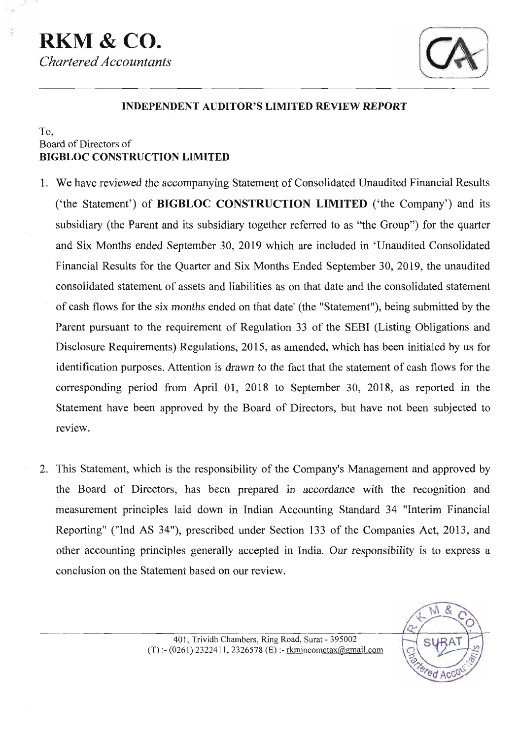# **RKM&CO.**  *Chartered Accountants*



## **INDEPENDENT AUDITOR'S LIMITED REVIEW REPORT**

## To, Board of Directors of **BIGBLOC CONSTRUCTION LIMITED**

- 1. We have reviewed the accompanying Statement of Consolidated Unaudited Financial Results ('the Statement') of **BIGBLOC CONSTRUCTION LIMITED** ('the Company') and its subsidiary (the Parent and its subsidiary together referred to as "the Group") for the quarter and Six Months ended September 30, 2019 which are included in 'Unaudited Consolidated Financial Results for the Quarter and Six Months Ended September 30, 2019, the unaudited consolidated statement of assets and liabilities as on that date and the consolidated statement of cash flows for the six months ended on that date' (the "Statement"), being submitted by the Parent pursuant to the requirement of Regulation 33 of the SEBI (Listing Obligations and Disclosure Requirements) Regulations, 2015, as amended, which has been initialed by us for identification purposes. Attention is drawn to the fact that the statement of cash flows for the corresponding period from April 01, 2018 to September 30, 2018, as reported in the Statement have been approved by the Board of Directors, but have not been subjected to review.
- 2. This Statement, which is the responsibility of the Company's Management and approved by the Board of Directors, has been prepared in accordance with the recognition and measurement principles laid down in Indian Accounting Standard 34' "Interim Financial Reporting" ("Ind AS 34"), prescribed under Section 133 of the Companies Act, 2013, and other accounting principles generally accepted in India. Our responsibility is to express a conclusion on the Statement based on our review.

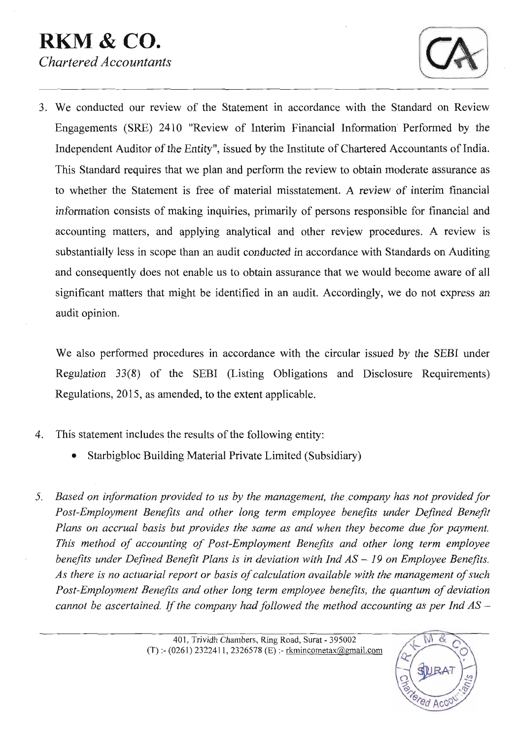# **RKM** & **CO.**  *Chartered Accountants*



3. We conducted our review of the Statement in accordance with the Standard on Review Engagements (SRE) 2410 "Review of Interim Financial Information' Performed by the Independent Auditor of the Entity", issued by the Institute of Chartered Accountants of India. This Standard requires that we plan and perfom the review to obtain moderate assurance as to whether the Statement is free of material misstatement. A review of interim financial information consists of making inquiries, primarily of persons responsible for financial and accounting matters, and applying analytical and other review procedures. A review is substantially less in scope than an audit conducted in accordance with Standards on Auditing and consequently does not enable us to obtain assurance that we would become aware of all significant matters that might be identified in an audit. Accordingly, we do not express an audit opinion.

We also performed procedures in accordance with the circular issued by the SEBI under Regulation **33(8)** of the SEBI (Listing Obligations and Disclosure Requirements) Regulations, 2015, as amended, to the extent applicable.

- 4. This statement includes the results of the following entity:
	- Starbigbloc Building Material Private Limited (Subsidiary)  $\bullet$
- *Based on information provided to us by the management, the company has not provided for Post-Employment Benefits and other long term employee benefits under Defined Benefit Plans on accrual basis but provides the same as and when they become due for payment. This method of accounting of Post-Employment Benefits and other long term employee benefits under Defined Benefit Plans is in deviation with Ind AS – 19 on Employee Benefits. As there is no actuarial report or basis of calculation available with the management of such Post-Employment Benefits and other long term employee benefits, the quantum of deviation cannot be ascertained. If the company had followed the method accounting as per Ind AS –*